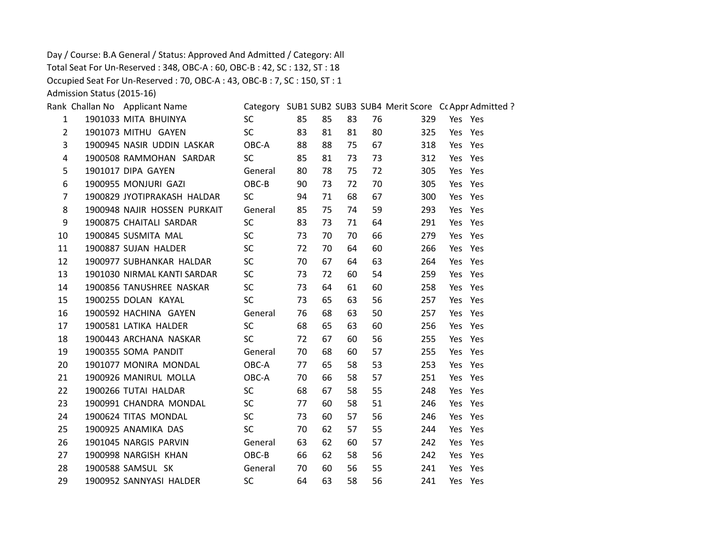Day / Course: B.A General / Status: Approved And Admitted / Category: All Total Seat For Un-Reserved : 348, OBC-A : 60, OBC-B : 42, SC : 132, ST : 18 Occupied Seat For Un-Reserved : 70, OBC-A : 43, OBC-B : 7, SC : 150, ST : 1

Admission Status (2015-16)

|                | Rank Challan No Applicant Name |           |    |    |    |    | Category SUB1 SUB2 SUB3 SUB4 Merit Score Cc Appr Admitted ? |         |  |
|----------------|--------------------------------|-----------|----|----|----|----|-------------------------------------------------------------|---------|--|
| $\mathbf{1}$   | 1901033 MITA BHUINYA           | SC        | 85 | 85 | 83 | 76 | 329                                                         | Yes Yes |  |
| $\overline{2}$ | 1901073 MITHU GAYEN            | SC        | 83 | 81 | 81 | 80 | 325                                                         | Yes Yes |  |
| 3              | 1900945 NASIR UDDIN LASKAR     | OBC-A     | 88 | 88 | 75 | 67 | 318                                                         | Yes Yes |  |
| $\overline{4}$ | 1900508 RAMMOHAN SARDAR        | <b>SC</b> | 85 | 81 | 73 | 73 | 312                                                         | Yes Yes |  |
| 5              | 1901017 DIPA GAYEN             | General   | 80 | 78 | 75 | 72 | 305                                                         | Yes Yes |  |
| 6              | 1900955 MONJURI GAZI           | OBC-B     | 90 | 73 | 72 | 70 | 305                                                         | Yes Yes |  |
| $\overline{7}$ | 1900829 JYOTIPRAKASH HALDAR    | <b>SC</b> | 94 | 71 | 68 | 67 | 300                                                         | Yes Yes |  |
| 8              | 1900948 NAJIR HOSSEN PURKAIT   | General   | 85 | 75 | 74 | 59 | 293                                                         | Yes Yes |  |
| 9              | 1900875 CHAITALI SARDAR        | <b>SC</b> | 83 | 73 | 71 | 64 | 291                                                         | Yes Yes |  |
| 10             | 1900845 SUSMITA MAL            | <b>SC</b> | 73 | 70 | 70 | 66 | 279                                                         | Yes Yes |  |
| 11             | 1900887 SUJAN HALDER           | <b>SC</b> | 72 | 70 | 64 | 60 | 266                                                         | Yes Yes |  |
| 12             | 1900977 SUBHANKAR HALDAR       | SC        | 70 | 67 | 64 | 63 | 264                                                         | Yes Yes |  |
| 13             | 1901030 NIRMAL KANTI SARDAR    | <b>SC</b> | 73 | 72 | 60 | 54 | 259                                                         | Yes Yes |  |
| 14             | 1900856 TANUSHREE NASKAR       | <b>SC</b> | 73 | 64 | 61 | 60 | 258                                                         | Yes Yes |  |
| 15             | 1900255 DOLAN KAYAL            | <b>SC</b> | 73 | 65 | 63 | 56 | 257                                                         | Yes Yes |  |
| 16             | 1900592 HACHINA GAYEN          | General   | 76 | 68 | 63 | 50 | 257                                                         | Yes Yes |  |
| 17             | 1900581 LATIKA HALDER          | <b>SC</b> | 68 | 65 | 63 | 60 | 256                                                         | Yes Yes |  |
| 18             | 1900443 ARCHANA NASKAR         | SC        | 72 | 67 | 60 | 56 | 255                                                         | Yes Yes |  |
| 19             | 1900355 SOMA PANDIT            | General   | 70 | 68 | 60 | 57 | 255                                                         | Yes Yes |  |
| 20             | 1901077 MONIRA MONDAL          | OBC-A     | 77 | 65 | 58 | 53 | 253                                                         | Yes Yes |  |
| 21             | 1900926 MANIRUL MOLLA          | OBC-A     | 70 | 66 | 58 | 57 | 251                                                         | Yes Yes |  |
| 22             | 1900266 TUTAI HALDAR           | SC        | 68 | 67 | 58 | 55 | 248                                                         | Yes Yes |  |
| 23             | 1900991 CHANDRA MONDAL         | <b>SC</b> | 77 | 60 | 58 | 51 | 246                                                         | Yes Yes |  |
| 24             | 1900624 TITAS MONDAL           | <b>SC</b> | 73 | 60 | 57 | 56 | 246                                                         | Yes Yes |  |
| 25             | 1900925 ANAMIKA DAS            | SC        | 70 | 62 | 57 | 55 | 244                                                         | Yes Yes |  |
| 26             | 1901045 NARGIS PARVIN          | General   | 63 | 62 | 60 | 57 | 242                                                         | Yes Yes |  |
| 27             | 1900998 NARGISH KHAN           | $OBC-B$   | 66 | 62 | 58 | 56 | 242                                                         | Yes Yes |  |
| 28             | 1900588 SAMSUL SK              | General   | 70 | 60 | 56 | 55 | 241                                                         | Yes Yes |  |
| 29             | 1900952 SANNYASI HALDER        | <b>SC</b> | 64 | 63 | 58 | 56 | 241                                                         | Yes Yes |  |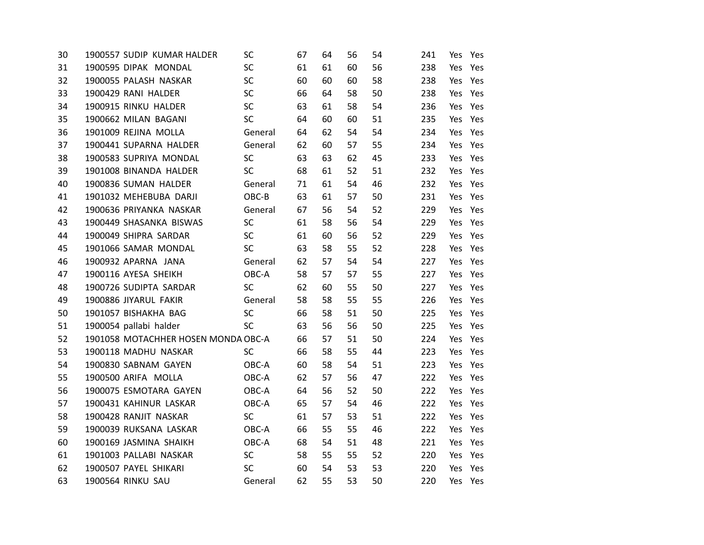| 30 | 1900557 SUDIP KUMAR HALDER          | SC        | 67 | 64 | 56 | 54 | 241 | Yes | Yes     |
|----|-------------------------------------|-----------|----|----|----|----|-----|-----|---------|
| 31 | 1900595 DIPAK MONDAL                | <b>SC</b> | 61 | 61 | 60 | 56 | 238 | Yes | Yes     |
| 32 | 1900055 PALASH NASKAR               | SC        | 60 | 60 | 60 | 58 | 238 | Yes | Yes     |
| 33 | 1900429 RANI HALDER                 | <b>SC</b> | 66 | 64 | 58 | 50 | 238 | Yes | Yes     |
| 34 | 1900915 RINKU HALDER                | <b>SC</b> | 63 | 61 | 58 | 54 | 236 | Yes | Yes     |
| 35 | 1900662 MILAN BAGANI                | <b>SC</b> | 64 | 60 | 60 | 51 | 235 | Yes | Yes     |
| 36 | 1901009 REJINA MOLLA                | General   | 64 | 62 | 54 | 54 | 234 | Yes | Yes     |
| 37 | 1900441 SUPARNA HALDER              | General   | 62 | 60 | 57 | 55 | 234 | Yes | Yes     |
| 38 | 1900583 SUPRIYA MONDAL              | SC        | 63 | 63 | 62 | 45 | 233 | Yes | Yes     |
| 39 | 1901008 BINANDA HALDER              | SC        | 68 | 61 | 52 | 51 | 232 | Yes | Yes     |
| 40 | 1900836 SUMAN HALDER                | General   | 71 | 61 | 54 | 46 | 232 | Yes | Yes     |
| 41 | 1901032 MEHEBUBA DARJI              | OBC-B     | 63 | 61 | 57 | 50 | 231 | Yes | Yes     |
| 42 | 1900636 PRIYANKA NASKAR             | General   | 67 | 56 | 54 | 52 | 229 | Yes | Yes     |
| 43 | 1900449 SHASANKA BISWAS             | SC        | 61 | 58 | 56 | 54 | 229 | Yes | Yes     |
| 44 | 1900049 SHIPRA SARDAR               | SC        | 61 | 60 | 56 | 52 | 229 | Yes | Yes     |
| 45 | 1901066 SAMAR MONDAL                | SC        | 63 | 58 | 55 | 52 | 228 | Yes | Yes     |
| 46 | 1900932 APARNA JANA                 | General   | 62 | 57 | 54 | 54 | 227 | Yes | Yes     |
| 47 | 1900116 AYESA SHEIKH                | OBC-A     | 58 | 57 | 57 | 55 | 227 | Yes | Yes     |
| 48 | 1900726 SUDIPTA SARDAR              | SC        | 62 | 60 | 55 | 50 | 227 | Yes | Yes     |
| 49 | 1900886 JIYARUL FAKIR               | General   | 58 | 58 | 55 | 55 | 226 | Yes | Yes     |
| 50 | 1901057 BISHAKHA BAG                | SC        | 66 | 58 | 51 | 50 | 225 | Yes | Yes     |
| 51 | 1900054 pallabi halder              | <b>SC</b> | 63 | 56 | 56 | 50 | 225 | Yes | Yes     |
| 52 | 1901058 MOTACHHER HOSEN MONDA OBC-A |           | 66 | 57 | 51 | 50 | 224 | Yes | Yes     |
| 53 | 1900118 MADHU NASKAR                | <b>SC</b> | 66 | 58 | 55 | 44 | 223 | Yes | Yes     |
| 54 | 1900830 SABNAM GAYEN                | OBC-A     | 60 | 58 | 54 | 51 | 223 | Yes | Yes     |
| 55 | 1900500 ARIFA MOLLA                 | OBC-A     | 62 | 57 | 56 | 47 | 222 | Yes | Yes     |
| 56 | 1900075 ESMOTARA GAYEN              | OBC-A     | 64 | 56 | 52 | 50 | 222 | Yes | Yes     |
| 57 | 1900431 KAHINUR LASKAR              | OBC-A     | 65 | 57 | 54 | 46 | 222 | Yes | Yes     |
| 58 | 1900428 RANJIT NASKAR               | <b>SC</b> | 61 | 57 | 53 | 51 | 222 | Yes | Yes     |
| 59 | 1900039 RUKSANA LASKAR              | OBC-A     | 66 | 55 | 55 | 46 | 222 | Yes | Yes     |
| 60 | 1900169 JASMINA SHAIKH              | OBC-A     | 68 | 54 | 51 | 48 | 221 | Yes | Yes     |
| 61 | 1901003 PALLABI NASKAR              | SC        | 58 | 55 | 55 | 52 | 220 | Yes | Yes     |
| 62 | 1900507 PAYEL SHIKARI               | <b>SC</b> | 60 | 54 | 53 | 53 | 220 | Yes | Yes     |
| 63 | 1900564 RINKU SAU                   | General   | 62 | 55 | 53 | 50 | 220 |     | Yes Yes |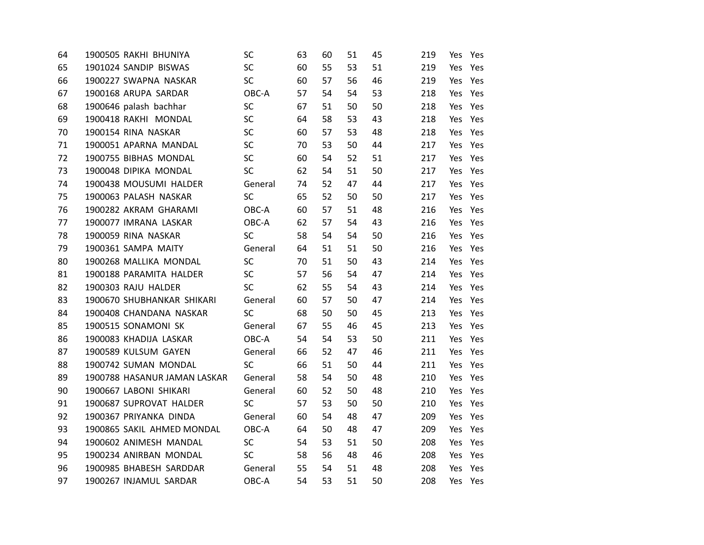| 64 | 1900505 RAKHI BHUNIYA        | SC        | 63 | 60 | 51 | 45 | 219 | Yes | Yes     |
|----|------------------------------|-----------|----|----|----|----|-----|-----|---------|
| 65 | 1901024 SANDIP BISWAS        | SC        | 60 | 55 | 53 | 51 | 219 | Yes | Yes     |
| 66 | 1900227 SWAPNA NASKAR        | <b>SC</b> | 60 | 57 | 56 | 46 | 219 | Yes | Yes     |
| 67 | 1900168 ARUPA SARDAR         | OBC-A     | 57 | 54 | 54 | 53 | 218 |     | Yes Yes |
| 68 | 1900646 palash bachhar       | <b>SC</b> | 67 | 51 | 50 | 50 | 218 | Yes | Yes     |
| 69 | 1900418 RAKHI MONDAL         | SC        | 64 | 58 | 53 | 43 | 218 |     | Yes Yes |
| 70 | 1900154 RINA NASKAR          | <b>SC</b> | 60 | 57 | 53 | 48 | 218 | Yes | Yes     |
| 71 | 1900051 APARNA MANDAL        | SC        | 70 | 53 | 50 | 44 | 217 | Yes | Yes     |
| 72 | 1900755 BIBHAS MONDAL        | <b>SC</b> | 60 | 54 | 52 | 51 | 217 | Yes | Yes     |
| 73 | 1900048 DIPIKA MONDAL        | SC        | 62 | 54 | 51 | 50 | 217 | Yes | Yes     |
| 74 | 1900438 MOUSUMI HALDER       | General   | 74 | 52 | 47 | 44 | 217 | Yes | Yes     |
| 75 | 1900063 PALASH NASKAR        | SC        | 65 | 52 | 50 | 50 | 217 | Yes | Yes     |
| 76 | 1900282 AKRAM GHARAMI        | OBC-A     | 60 | 57 | 51 | 48 | 216 | Yes | Yes     |
| 77 | 1900077 IMRANA LASKAR        | OBC-A     | 62 | 57 | 54 | 43 | 216 | Yes | Yes     |
| 78 | 1900059 RINA NASKAR          | <b>SC</b> | 58 | 54 | 54 | 50 | 216 | Yes | Yes     |
| 79 | 1900361 SAMPA MAITY          | General   | 64 | 51 | 51 | 50 | 216 | Yes | Yes     |
| 80 | 1900268 MALLIKA MONDAL       | SC        | 70 | 51 | 50 | 43 | 214 | Yes | Yes     |
| 81 | 1900188 PARAMITA HALDER      | <b>SC</b> | 57 | 56 | 54 | 47 | 214 | Yes | Yes     |
| 82 | 1900303 RAJU HALDER          | SC        | 62 | 55 | 54 | 43 | 214 | Yes | Yes     |
| 83 | 1900670 SHUBHANKAR SHIKARI   | General   | 60 | 57 | 50 | 47 | 214 | Yes | Yes     |
| 84 | 1900408 CHANDANA NASKAR      | SC        | 68 | 50 | 50 | 45 | 213 | Yes | Yes     |
| 85 | 1900515 SONAMONI SK          | General   | 67 | 55 | 46 | 45 | 213 | Yes | Yes     |
| 86 | 1900083 KHADIJA LASKAR       | OBC-A     | 54 | 54 | 53 | 50 | 211 | Yes | Yes     |
| 87 | 1900589 KULSUM GAYEN         | General   | 66 | 52 | 47 | 46 | 211 | Yes | Yes     |
| 88 | 1900742 SUMAN MONDAL         | <b>SC</b> | 66 | 51 | 50 | 44 | 211 | Yes | Yes     |
| 89 | 1900788 HASANUR JAMAN LASKAR | General   | 58 | 54 | 50 | 48 | 210 | Yes | Yes     |
| 90 | 1900667 LABONI SHIKARI       | General   | 60 | 52 | 50 | 48 | 210 | Yes | Yes     |
| 91 | 1900687 SUPROVAT HALDER      | <b>SC</b> | 57 | 53 | 50 | 50 | 210 | Yes | Yes     |
| 92 | 1900367 PRIYANKA DINDA       | General   | 60 | 54 | 48 | 47 | 209 | Yes | Yes     |
| 93 | 1900865 SAKIL AHMED MONDAL   | OBC-A     | 64 | 50 | 48 | 47 | 209 | Yes | Yes     |
| 94 | 1900602 ANIMESH MANDAL       | SC        | 54 | 53 | 51 | 50 | 208 | Yes | Yes     |
| 95 | 1900234 ANIRBAN MONDAL       | <b>SC</b> | 58 | 56 | 48 | 46 | 208 | Yes | Yes     |
| 96 | 1900985 BHABESH SARDDAR      | General   | 55 | 54 | 51 | 48 | 208 | Yes | Yes     |
| 97 | 1900267 INJAMUL SARDAR       | OBC-A     | 54 | 53 | 51 | 50 | 208 |     | Yes Yes |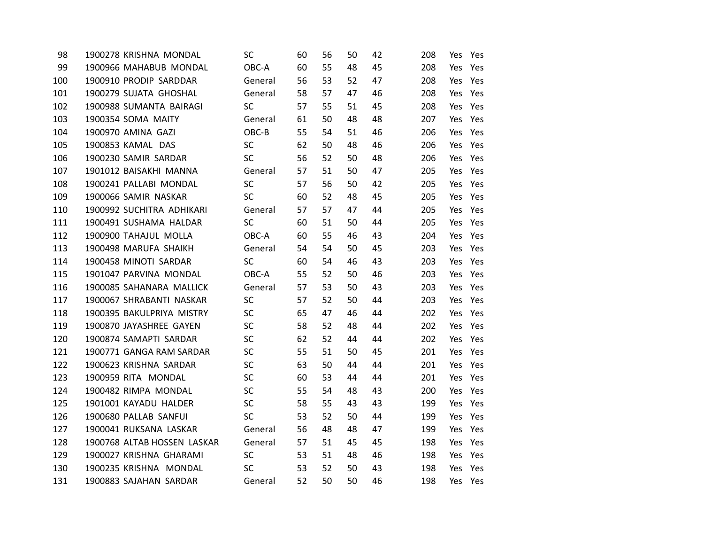| 98  | 1900278 KRISHNA MONDAL  |                             | SC.       | 60 | 56 | 50 | 42 | 208 | Yes     | Yes |
|-----|-------------------------|-----------------------------|-----------|----|----|----|----|-----|---------|-----|
| 99  |                         | 1900966 MAHABUB MONDAL      | OBC-A     | 60 | 55 | 48 | 45 | 208 | Yes     | Yes |
| 100 | 1900910 PRODIP SARDDAR  |                             | General   | 56 | 53 | 52 | 47 | 208 | Yes     | Yes |
| 101 | 1900279 SUJATA GHOSHAL  |                             | General   | 58 | 57 | 47 | 46 | 208 | Yes Yes |     |
| 102 | 1900988 SUMANTA BAIRAGI |                             | <b>SC</b> | 57 | 55 | 51 | 45 | 208 | Yes Yes |     |
| 103 | 1900354 SOMA MAITY      |                             | General   | 61 | 50 | 48 | 48 | 207 | Yes Yes |     |
| 104 | 1900970 AMINA GAZI      |                             | OBC-B     | 55 | 54 | 51 | 46 | 206 | Yes     | Yes |
| 105 | 1900853 KAMAL DAS       |                             | <b>SC</b> | 62 | 50 | 48 | 46 | 206 | Yes Yes |     |
| 106 | 1900230 SAMIR SARDAR    |                             | <b>SC</b> | 56 | 52 | 50 | 48 | 206 | Yes Yes |     |
| 107 | 1901012 BAISAKHI MANNA  |                             | General   | 57 | 51 | 50 | 47 | 205 | Yes     | Yes |
| 108 | 1900241 PALLABI MONDAL  |                             | <b>SC</b> | 57 | 56 | 50 | 42 | 205 | Yes Yes |     |
| 109 | 1900066 SAMIR NASKAR    |                             | <b>SC</b> | 60 | 52 | 48 | 45 | 205 | Yes Yes |     |
| 110 |                         | 1900992 SUCHITRA ADHIKARI   | General   | 57 | 57 | 47 | 44 | 205 | Yes Yes |     |
| 111 | 1900491 SUSHAMA HALDAR  |                             | <b>SC</b> | 60 | 51 | 50 | 44 | 205 | Yes Yes |     |
| 112 | 1900900 TAHAJUL MOLLA   |                             | OBC-A     | 60 | 55 | 46 | 43 | 204 | Yes Yes |     |
| 113 | 1900498 MARUFA SHAIKH   |                             | General   | 54 | 54 | 50 | 45 | 203 | Yes Yes |     |
| 114 | 1900458 MINOTI SARDAR   |                             | <b>SC</b> | 60 | 54 | 46 | 43 | 203 | Yes Yes |     |
| 115 | 1901047 PARVINA MONDAL  |                             | OBC-A     | 55 | 52 | 50 | 46 | 203 | Yes     | Yes |
| 116 |                         | 1900085 SAHANARA MALLICK    | General   | 57 | 53 | 50 | 43 | 203 | Yes Yes |     |
| 117 |                         | 1900067 SHRABANTI NASKAR    | <b>SC</b> | 57 | 52 | 50 | 44 | 203 | Yes     | Yes |
| 118 |                         | 1900395 BAKULPRIYA MISTRY   | <b>SC</b> | 65 | 47 | 46 | 44 | 202 | Yes Yes |     |
| 119 | 1900870 JAYASHREE GAYEN |                             | <b>SC</b> | 58 | 52 | 48 | 44 | 202 | Yes Yes |     |
| 120 | 1900874 SAMAPTI SARDAR  |                             | <b>SC</b> | 62 | 52 | 44 | 44 | 202 | Yes Yes |     |
| 121 |                         | 1900771 GANGA RAM SARDAR    | <b>SC</b> | 55 | 51 | 50 | 45 | 201 | Yes Yes |     |
| 122 | 1900623 KRISHNA SARDAR  |                             | <b>SC</b> | 63 | 50 | 44 | 44 | 201 | Yes Yes |     |
| 123 | 1900959 RITA MONDAL     |                             | <b>SC</b> | 60 | 53 | 44 | 44 | 201 | Yes Yes |     |
| 124 | 1900482 RIMPA MONDAL    |                             | <b>SC</b> | 55 | 54 | 48 | 43 | 200 | Yes Yes |     |
| 125 | 1901001 KAYADU HALDER   |                             | <b>SC</b> | 58 | 55 | 43 | 43 | 199 | Yes     | Yes |
| 126 | 1900680 PALLAB SANFUI   |                             | <b>SC</b> | 53 | 52 | 50 | 44 | 199 | Yes Yes |     |
| 127 | 1900041 RUKSANA LASKAR  |                             | General   | 56 | 48 | 48 | 47 | 199 | Yes     | Yes |
| 128 |                         | 1900768 ALTAB HOSSEN LASKAR | General   | 57 | 51 | 45 | 45 | 198 | Yes Yes |     |
| 129 | 1900027 KRISHNA GHARAMI |                             | <b>SC</b> | 53 | 51 | 48 | 46 | 198 | Yes Yes |     |
| 130 | 1900235 KRISHNA MONDAL  |                             | <b>SC</b> | 53 | 52 | 50 | 43 | 198 | Yes Yes |     |
| 131 | 1900883 SAJAHAN SARDAR  |                             | General   | 52 | 50 | 50 | 46 | 198 | Yes Yes |     |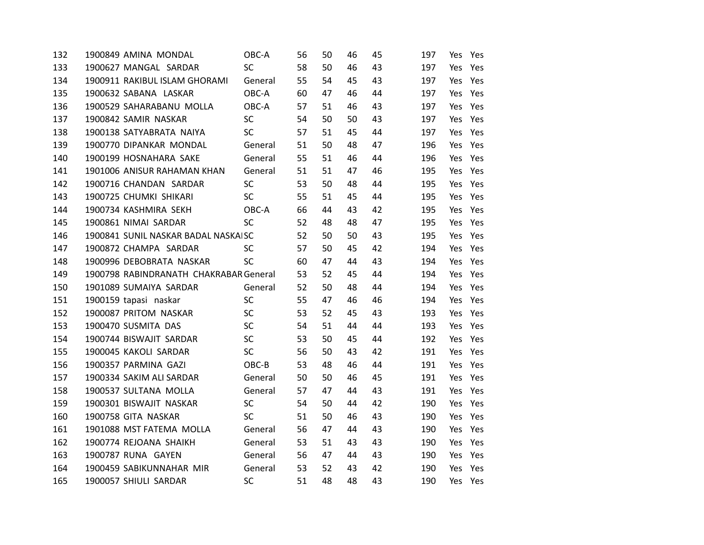| 132 | 1900849 AMINA MONDAL                   | OBC-A     | 56 | 50 | 46 | 45 | 197 | Yes | Yes     |
|-----|----------------------------------------|-----------|----|----|----|----|-----|-----|---------|
| 133 | 1900627 MANGAL SARDAR                  | SC        | 58 | 50 | 46 | 43 | 197 | Yes | Yes     |
| 134 | 1900911 RAKIBUL ISLAM GHORAMI          | General   | 55 | 54 | 45 | 43 | 197 | Yes | Yes     |
| 135 | 1900632 SABANA LASKAR                  | OBC-A     | 60 | 47 | 46 | 44 | 197 | Yes | Yes     |
| 136 | 1900529 SAHARABANU MOLLA               | OBC-A     | 57 | 51 | 46 | 43 | 197 | Yes | Yes     |
| 137 | 1900842 SAMIR NASKAR                   | SC        | 54 | 50 | 50 | 43 | 197 | Yes | Yes     |
| 138 | 1900138 SATYABRATA NAIYA               | <b>SC</b> | 57 | 51 | 45 | 44 | 197 | Yes | Yes     |
| 139 | 1900770 DIPANKAR MONDAL                | General   | 51 | 50 | 48 | 47 | 196 | Yes | Yes     |
| 140 | 1900199 HOSNAHARA SAKE                 | General   | 55 | 51 | 46 | 44 | 196 | Yes | Yes     |
| 141 | 1901006 ANISUR RAHAMAN KHAN            | General   | 51 | 51 | 47 | 46 | 195 | Yes | Yes     |
| 142 | 1900716 CHANDAN SARDAR                 | <b>SC</b> | 53 | 50 | 48 | 44 | 195 | Yes | Yes     |
| 143 | 1900725 CHUMKI SHIKARI                 | <b>SC</b> | 55 | 51 | 45 | 44 | 195 | Yes | Yes     |
| 144 | 1900734 KASHMIRA SEKH                  | OBC-A     | 66 | 44 | 43 | 42 | 195 | Yes | Yes     |
| 145 | 1900861 NIMAI SARDAR                   | SC        | 52 | 48 | 48 | 47 | 195 | Yes | Yes     |
| 146 | 1900841 SUNIL NASKAR BADAL NASKAISC    |           | 52 | 50 | 50 | 43 | 195 | Yes | Yes     |
| 147 | 1900872 CHAMPA SARDAR                  | <b>SC</b> | 57 | 50 | 45 | 42 | 194 | Yes | Yes     |
| 148 | 1900996 DEBOBRATA NASKAR               | SC        | 60 | 47 | 44 | 43 | 194 | Yes | Yes     |
| 149 | 1900798 RABINDRANATH CHAKRABAR General |           | 53 | 52 | 45 | 44 | 194 | Yes | Yes     |
| 150 | 1901089 SUMAIYA SARDAR                 | General   | 52 | 50 | 48 | 44 | 194 | Yes | Yes     |
| 151 | 1900159 tapasi naskar                  | SC        | 55 | 47 | 46 | 46 | 194 | Yes | Yes     |
| 152 | 1900087 PRITOM NASKAR                  | SC        | 53 | 52 | 45 | 43 | 193 | Yes | Yes     |
| 153 | 1900470 SUSMITA DAS                    | SC        | 54 | 51 | 44 | 44 | 193 | Yes | Yes     |
| 154 | 1900744 BISWAJIT SARDAR                | SC        | 53 | 50 | 45 | 44 | 192 | Yes | Yes     |
| 155 | 1900045 KAKOLI SARDAR                  | SC        | 56 | 50 | 43 | 42 | 191 | Yes | Yes     |
| 156 | 1900357 PARMINA GAZI                   | OBC-B     | 53 | 48 | 46 | 44 | 191 | Yes | Yes     |
| 157 | 1900334 SAKIM ALI SARDAR               | General   | 50 | 50 | 46 | 45 | 191 | Yes | Yes     |
| 158 | 1900537 SULTANA MOLLA                  | General   | 57 | 47 | 44 | 43 | 191 | Yes | Yes     |
| 159 | 1900301 BISWAJIT NASKAR                | SC        | 54 | 50 | 44 | 42 | 190 | Yes | Yes     |
| 160 | 1900758 GITA NASKAR                    | SC        | 51 | 50 | 46 | 43 | 190 | Yes | Yes     |
| 161 | 1901088 MST FATEMA MOLLA               | General   | 56 | 47 | 44 | 43 | 190 | Yes | Yes     |
| 162 | 1900774 REJOANA SHAIKH                 | General   | 53 | 51 | 43 | 43 | 190 | Yes | Yes     |
| 163 | 1900787 RUNA GAYEN                     | General   | 56 | 47 | 44 | 43 | 190 | Yes | Yes     |
| 164 | 1900459 SABIKUNNAHAR MIR               | General   | 53 | 52 | 43 | 42 | 190 | Yes | Yes     |
| 165 | 1900057 SHIULI SARDAR                  | SC        | 51 | 48 | 48 | 43 | 190 |     | Yes Yes |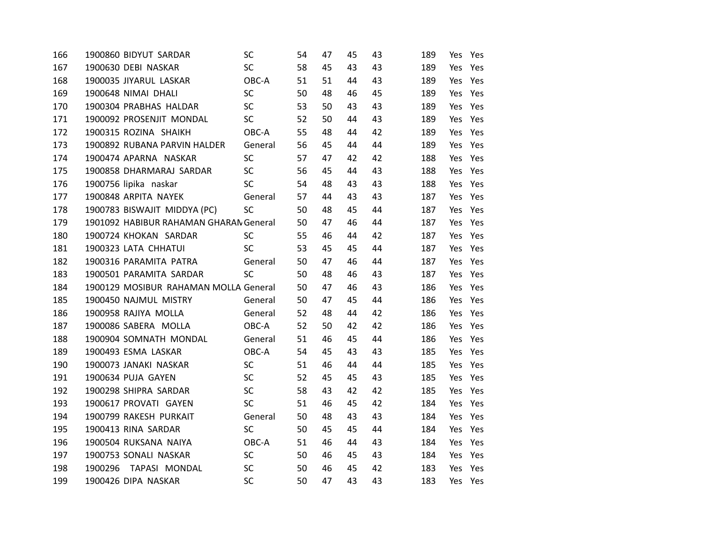| 166 | 1900860 BIDYUT SARDAR                  | SC        | 54 | 47 | 45 | 43 | 189 | Yes | Yes     |  |
|-----|----------------------------------------|-----------|----|----|----|----|-----|-----|---------|--|
| 167 | 1900630 DEBI NASKAR                    | <b>SC</b> | 58 | 45 | 43 | 43 | 189 | Yes | Yes     |  |
| 168 | 1900035 JIYARUL LASKAR                 | OBC-A     | 51 | 51 | 44 | 43 | 189 | Yes | Yes     |  |
| 169 | 1900648 NIMAI DHALI                    | <b>SC</b> | 50 | 48 | 46 | 45 | 189 | Yes | Yes     |  |
| 170 | 1900304 PRABHAS HALDAR                 | SC        | 53 | 50 | 43 | 43 | 189 | Yes | Yes     |  |
| 171 | 1900092 PROSENJIT MONDAL               | <b>SC</b> | 52 | 50 | 44 | 43 | 189 | Yes | Yes     |  |
| 172 | 1900315 ROZINA SHAIKH                  | OBC-A     | 55 | 48 | 44 | 42 | 189 | Yes | Yes     |  |
| 173 | 1900892 RUBANA PARVIN HALDER           | General   | 56 | 45 | 44 | 44 | 189 | Yes | Yes     |  |
| 174 | 1900474 APARNA NASKAR                  | SC        | 57 | 47 | 42 | 42 | 188 | Yes | Yes     |  |
| 175 | 1900858 DHARMARAJ SARDAR               | SC        | 56 | 45 | 44 | 43 | 188 | Yes | Yes     |  |
| 176 | 1900756 lipika naskar                  | <b>SC</b> | 54 | 48 | 43 | 43 | 188 | Yes | Yes     |  |
| 177 | 1900848 ARPITA NAYEK                   | General   | 57 | 44 | 43 | 43 | 187 | Yes | Yes     |  |
| 178 | 1900783 BISWAJIT MIDDYA (PC)           | SC        | 50 | 48 | 45 | 44 | 187 | Yes | Yes     |  |
| 179 | 1901092 HABIBUR RAHAMAN GHARAN General |           | 50 | 47 | 46 | 44 | 187 | Yes | Yes     |  |
| 180 | 1900724 KHOKAN SARDAR                  | <b>SC</b> | 55 | 46 | 44 | 42 | 187 | Yes | Yes     |  |
| 181 | 1900323 LATA CHHATUI                   | SC        | 53 | 45 | 45 | 44 | 187 | Yes | Yes     |  |
| 182 | 1900316 PARAMITA PATRA                 | General   | 50 | 47 | 46 | 44 | 187 | Yes | Yes     |  |
| 183 | 1900501 PARAMITA SARDAR                | <b>SC</b> | 50 | 48 | 46 | 43 | 187 | Yes | Yes     |  |
| 184 | 1900129 MOSIBUR RAHAMAN MOLLA General  |           | 50 | 47 | 46 | 43 | 186 | Yes | Yes     |  |
| 185 | 1900450 NAJMUL MISTRY                  | General   | 50 | 47 | 45 | 44 | 186 | Yes | Yes     |  |
| 186 | 1900958 RAJIYA MOLLA                   | General   | 52 | 48 | 44 | 42 | 186 | Yes | Yes     |  |
| 187 | 1900086 SABERA MOLLA                   | OBC-A     | 52 | 50 | 42 | 42 | 186 | Yes | Yes     |  |
| 188 | 1900904 SOMNATH MONDAL                 | General   | 51 | 46 | 45 | 44 | 186 |     | Yes Yes |  |
| 189 | 1900493 ESMA LASKAR                    | OBC-A     | 54 | 45 | 43 | 43 | 185 | Yes | Yes     |  |
| 190 | 1900073 JANAKI NASKAR                  | <b>SC</b> | 51 | 46 | 44 | 44 | 185 | Yes | Yes     |  |
| 191 | 1900634 PUJA GAYEN                     | SC        | 52 | 45 | 45 | 43 | 185 | Yes | Yes     |  |
| 192 | 1900298 SHIPRA SARDAR                  | SC        | 58 | 43 | 42 | 42 | 185 | Yes | Yes     |  |
| 193 | 1900617 PROVATI GAYEN                  | <b>SC</b> | 51 | 46 | 45 | 42 | 184 | Yes | Yes     |  |
| 194 | 1900799 RAKESH PURKAIT                 | General   | 50 | 48 | 43 | 43 | 184 | Yes | Yes     |  |
| 195 | 1900413 RINA SARDAR                    | SC        | 50 | 45 | 45 | 44 | 184 | Yes | Yes     |  |
| 196 | 1900504 RUKSANA NAIYA                  | OBC-A     | 51 | 46 | 44 | 43 | 184 | Yes | Yes     |  |
| 197 | 1900753 SONALI NASKAR                  | <b>SC</b> | 50 | 46 | 45 | 43 | 184 | Yes | Yes     |  |
| 198 | 1900296 TAPASI MONDAL                  | SC        | 50 | 46 | 45 | 42 | 183 | Yes | Yes     |  |
| 199 | 1900426 DIPA NASKAR                    | SC        | 50 | 47 | 43 | 43 | 183 |     | Yes Yes |  |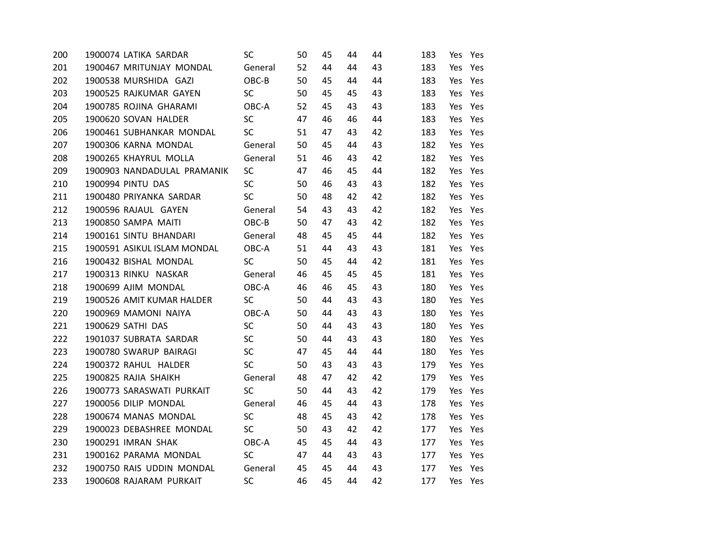| 200 | 1900074 LATIKA SARDAR       | SC.       | 50 | 45 | 44 | 44 | 183 | Yes     | Yes     |
|-----|-----------------------------|-----------|----|----|----|----|-----|---------|---------|
| 201 | 1900467 MRITUNJAY MONDAL    | General   | 52 | 44 | 44 | 43 | 183 | Yes     | Yes     |
| 202 | 1900538 MURSHIDA GAZI       | OBC-B     | 50 | 45 | 44 | 44 | 183 | Yes     | Yes     |
| 203 | 1900525 RAJKUMAR GAYEN      | <b>SC</b> | 50 | 45 | 45 | 43 | 183 |         | Yes Yes |
| 204 | 1900785 ROJINA GHARAMI      | OBC-A     | 52 | 45 | 43 | 43 | 183 |         | Yes Yes |
| 205 | 1900620 SOVAN HALDER        | <b>SC</b> | 47 | 46 | 46 | 44 | 183 |         | Yes Yes |
| 206 | 1900461 SUBHANKAR MONDAL    | <b>SC</b> | 51 | 47 | 43 | 42 | 183 | Yes     | Yes     |
| 207 | 1900306 KARNA MONDAL        | General   | 50 | 45 | 44 | 43 | 182 | Yes     | Yes     |
| 208 | 1900265 KHAYRUL MOLLA       | General   | 51 | 46 | 43 | 42 | 182 | Yes     | Yes     |
| 209 | 1900903 NANDADULAL PRAMANIK | <b>SC</b> | 47 | 46 | 45 | 44 | 182 | Yes     | Yes     |
| 210 | 1900994 PINTU DAS           | SC        | 50 | 46 | 43 | 43 | 182 |         | Yes Yes |
| 211 | 1900480 PRIYANKA SARDAR     | <b>SC</b> | 50 | 48 | 42 | 42 | 182 | Yes     | Yes     |
| 212 | 1900596 RAJAUL GAYEN        | General   | 54 | 43 | 43 | 42 | 182 |         | Yes Yes |
| 213 | 1900850 SAMPA MAITI         | OBC-B     | 50 | 47 | 43 | 42 | 182 | Yes     | Yes     |
| 214 | 1900161 SINTU BHANDARI      | General   | 48 | 45 | 45 | 44 | 182 | Yes     | Yes     |
| 215 | 1900591 ASIKUL ISLAM MONDAL | OBC-A     | 51 | 44 | 43 | 43 | 181 |         | Yes Yes |
| 216 | 1900432 BISHAL MONDAL       | <b>SC</b> | 50 | 45 | 44 | 42 | 181 |         | Yes Yes |
| 217 | 1900313 RINKU NASKAR        | General   | 46 | 45 | 45 | 45 | 181 | Yes     | Yes     |
| 218 | 1900699 AJIM MONDAL         | OBC-A     | 46 | 46 | 45 | 43 | 180 | Yes     | Yes     |
| 219 | 1900526 AMIT KUMAR HALDER   | SC        | 50 | 44 | 43 | 43 | 180 | Yes     | Yes     |
| 220 | 1900969 MAMONI NAIYA        | OBC-A     | 50 | 44 | 43 | 43 | 180 |         | Yes Yes |
| 221 | 1900629 SATHI DAS           | <b>SC</b> | 50 | 44 | 43 | 43 | 180 |         | Yes Yes |
| 222 | 1901037 SUBRATA SARDAR      | <b>SC</b> | 50 | 44 | 43 | 43 | 180 | Yes     | Yes     |
| 223 | 1900780 SWARUP BAIRAGI      | SC        | 47 | 45 | 44 | 44 | 180 | Yes     | Yes     |
| 224 | 1900372 RAHUL HALDER        | <b>SC</b> | 50 | 43 | 43 | 43 | 179 | Yes     | Yes     |
| 225 | 1900825 RAJIA SHAIKH        | General   | 48 | 47 | 42 | 42 | 179 | Yes     | Yes     |
| 226 | 1900773 SARASWATI PURKAIT   | <b>SC</b> | 50 | 44 | 43 | 42 | 179 | Yes     | Yes     |
| 227 | 1900056 DILIP MONDAL        | General   | 46 | 45 | 44 | 43 | 178 |         | Yes Yes |
| 228 | 1900674 MANAS MONDAL        | <b>SC</b> | 48 | 45 | 43 | 42 | 178 | Yes     | Yes     |
| 229 | 1900023 DEBASHREE MONDAL    | SC        | 50 | 43 | 42 | 42 | 177 | Yes     | Yes     |
| 230 | 1900291 IMRAN SHAK          | OBC-A     | 45 | 45 | 44 | 43 | 177 | Yes     | Yes     |
| 231 | 1900162 PARAMA MONDAL       | <b>SC</b> | 47 | 44 | 43 | 43 | 177 |         | Yes Yes |
| 232 | 1900750 RAIS UDDIN MONDAL   | General   | 45 | 45 | 44 | 43 | 177 | Yes     | Yes     |
| 233 | 1900608 RAJARAM PURKAIT     | <b>SC</b> | 46 | 45 | 44 | 42 | 177 | Yes Yes |         |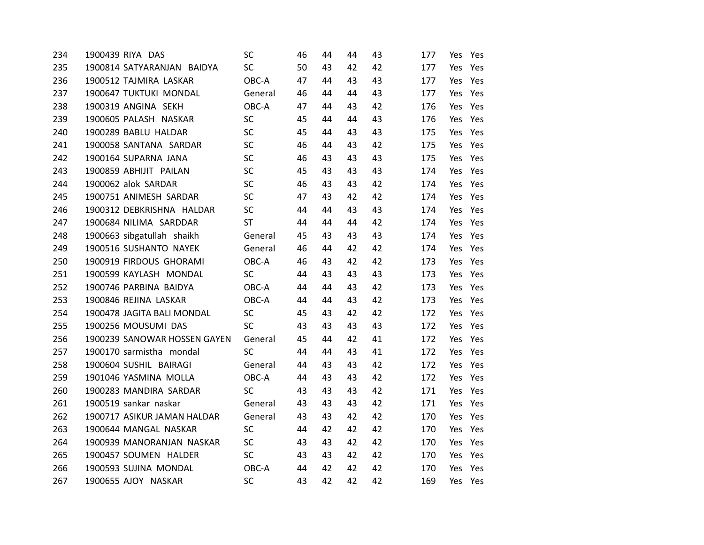| 234 | 1900439 RIYA DAS             | SC        | 46 | 44 | 44 | 43 | 177 | Yes | Yes     |
|-----|------------------------------|-----------|----|----|----|----|-----|-----|---------|
| 235 | 1900814 SATYARANJAN BAIDYA   | SC        | 50 | 43 | 42 | 42 | 177 | Yes | Yes     |
| 236 | 1900512 TAJMIRA LASKAR       | OBC-A     | 47 | 44 | 43 | 43 | 177 | Yes | Yes     |
| 237 | 1900647 TUKTUKI MONDAL       | General   | 46 | 44 | 44 | 43 | 177 | Yes | Yes     |
| 238 | 1900319 ANGINA SEKH          | OBC-A     | 47 | 44 | 43 | 42 | 176 | Yes | Yes     |
| 239 | 1900605 PALASH NASKAR        | SC        | 45 | 44 | 44 | 43 | 176 | Yes | Yes     |
| 240 | 1900289 BABLU HALDAR         | <b>SC</b> | 45 | 44 | 43 | 43 | 175 | Yes | Yes     |
| 241 | 1900058 SANTANA SARDAR       | SC        | 46 | 44 | 43 | 42 | 175 | Yes | Yes     |
| 242 | 1900164 SUPARNA JANA         | SC        | 46 | 43 | 43 | 43 | 175 | Yes | Yes     |
| 243 | 1900859 ABHIJIT PAILAN       | SC        | 45 | 43 | 43 | 43 | 174 | Yes | Yes     |
| 244 | 1900062 alok SARDAR          | SC        | 46 | 43 | 43 | 42 | 174 | Yes | Yes     |
| 245 | 1900751 ANIMESH SARDAR       | SC        | 47 | 43 | 42 | 42 | 174 | Yes | Yes     |
| 246 | 1900312 DEBKRISHNA HALDAR    | SC        | 44 | 44 | 43 | 43 | 174 | Yes | Yes     |
| 247 | 1900684 NILIMA SARDDAR       | <b>ST</b> | 44 | 44 | 44 | 42 | 174 | Yes | Yes     |
| 248 | 1900663 sibgatullah shaikh   | General   | 45 | 43 | 43 | 43 | 174 | Yes | Yes     |
| 249 | 1900516 SUSHANTO NAYEK       | General   | 46 | 44 | 42 | 42 | 174 | Yes | Yes     |
| 250 | 1900919 FIRDOUS GHORAMI      | OBC-A     | 46 | 43 | 42 | 42 | 173 | Yes | Yes     |
| 251 | 1900599 KAYLASH MONDAL       | SC        | 44 | 43 | 43 | 43 | 173 | Yes | Yes     |
| 252 | 1900746 PARBINA BAIDYA       | OBC-A     | 44 | 44 | 43 | 42 | 173 | Yes | Yes     |
| 253 | 1900846 REJINA LASKAR        | OBC-A     | 44 | 44 | 43 | 42 | 173 | Yes | Yes     |
| 254 | 1900478 JAGITA BALI MONDAL   | SC        | 45 | 43 | 42 | 42 | 172 | Yes | Yes     |
| 255 | 1900256 MOUSUMI DAS          | <b>SC</b> | 43 | 43 | 43 | 43 | 172 | Yes | Yes     |
| 256 | 1900239 SANOWAR HOSSEN GAYEN | General   | 45 | 44 | 42 | 41 | 172 | Yes | Yes     |
| 257 | 1900170 sarmistha mondal     | SC        | 44 | 44 | 43 | 41 | 172 | Yes | Yes     |
| 258 | 1900604 SUSHIL BAIRAGI       | General   | 44 | 43 | 43 | 42 | 172 | Yes | Yes     |
| 259 | 1901046 YASMINA MOLLA        | OBC-A     | 44 | 43 | 43 | 42 | 172 | Yes | Yes     |
| 260 | 1900283 MANDIRA SARDAR       | <b>SC</b> | 43 | 43 | 43 | 42 | 171 | Yes | Yes     |
| 261 | 1900519 sankar naskar        | General   | 43 | 43 | 43 | 42 | 171 | Yes | Yes     |
| 262 | 1900717 ASIKUR JAMAN HALDAR  | General   | 43 | 43 | 42 | 42 | 170 | Yes | Yes     |
| 263 | 1900644 MANGAL NASKAR        | SC        | 44 | 42 | 42 | 42 | 170 | Yes | Yes     |
| 264 | 1900939 MANORANJAN NASKAR    | SC        | 43 | 43 | 42 | 42 | 170 | Yes | Yes     |
| 265 | 1900457 SOUMEN HALDER        | <b>SC</b> | 43 | 43 | 42 | 42 | 170 | Yes | Yes     |
| 266 | 1900593 SUJINA MONDAL        | OBC-A     | 44 | 42 | 42 | 42 | 170 | Yes | Yes     |
| 267 | 1900655 AJOY NASKAR          | SC        | 43 | 42 | 42 | 42 | 169 |     | Yes Yes |